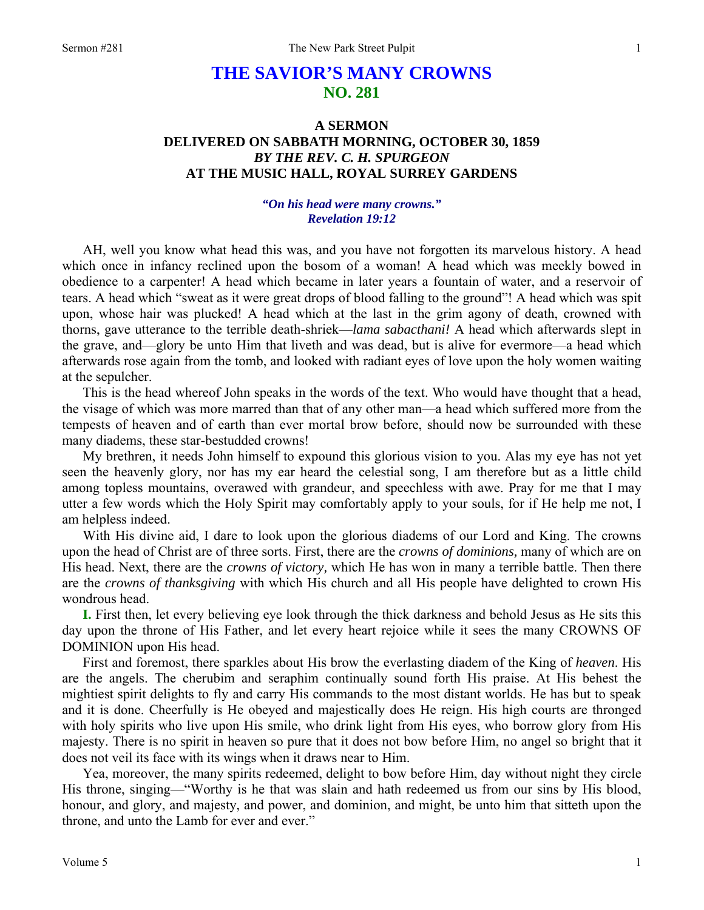## **THE SAVIOR'S MANY CROWNS NO. 281**

## **A SERMON DELIVERED ON SABBATH MORNING, OCTOBER 30, 1859**  *BY THE REV. C. H. SPURGEON*  **AT THE MUSIC HALL, ROYAL SURREY GARDENS**

## *"On his head were many crowns." Revelation 19:12*

AH, well you know what head this was, and you have not forgotten its marvelous history. A head which once in infancy reclined upon the bosom of a woman! A head which was meekly bowed in obedience to a carpenter! A head which became in later years a fountain of water, and a reservoir of tears. A head which "sweat as it were great drops of blood falling to the ground"! A head which was spit upon, whose hair was plucked! A head which at the last in the grim agony of death, crowned with thorns, gave utterance to the terrible death-shriek—*lama sabacthani!* A head which afterwards slept in the grave, and—glory be unto Him that liveth and was dead, but is alive for evermore—a head which afterwards rose again from the tomb, and looked with radiant eyes of love upon the holy women waiting at the sepulcher.

This is the head whereof John speaks in the words of the text. Who would have thought that a head, the visage of which was more marred than that of any other man—a head which suffered more from the tempests of heaven and of earth than ever mortal brow before, should now be surrounded with these many diadems, these star-bestudded crowns!

My brethren, it needs John himself to expound this glorious vision to you. Alas my eye has not yet seen the heavenly glory, nor has my ear heard the celestial song, I am therefore but as a little child among topless mountains, overawed with grandeur, and speechless with awe. Pray for me that I may utter a few words which the Holy Spirit may comfortably apply to your souls, for if He help me not, I am helpless indeed.

With His divine aid, I dare to look upon the glorious diadems of our Lord and King. The crowns upon the head of Christ are of three sorts. First, there are the *crowns of dominions,* many of which are on His head. Next, there are the *crowns of victory,* which He has won in many a terrible battle. Then there are the *crowns of thanksgiving* with which His church and all His people have delighted to crown His wondrous head.

**I.** First then, let every believing eye look through the thick darkness and behold Jesus as He sits this day upon the throne of His Father, and let every heart rejoice while it sees the many CROWNS OF DOMINION upon His head.

First and foremost, there sparkles about His brow the everlasting diadem of the King of *heaven*. His are the angels. The cherubim and seraphim continually sound forth His praise. At His behest the mightiest spirit delights to fly and carry His commands to the most distant worlds. He has but to speak and it is done. Cheerfully is He obeyed and majestically does He reign. His high courts are thronged with holy spirits who live upon His smile, who drink light from His eyes, who borrow glory from His majesty. There is no spirit in heaven so pure that it does not bow before Him, no angel so bright that it does not veil its face with its wings when it draws near to Him.

Yea, moreover, the many spirits redeemed, delight to bow before Him, day without night they circle His throne, singing—"Worthy is he that was slain and hath redeemed us from our sins by His blood, honour, and glory, and majesty, and power, and dominion, and might, be unto him that sitteth upon the throne, and unto the Lamb for ever and ever."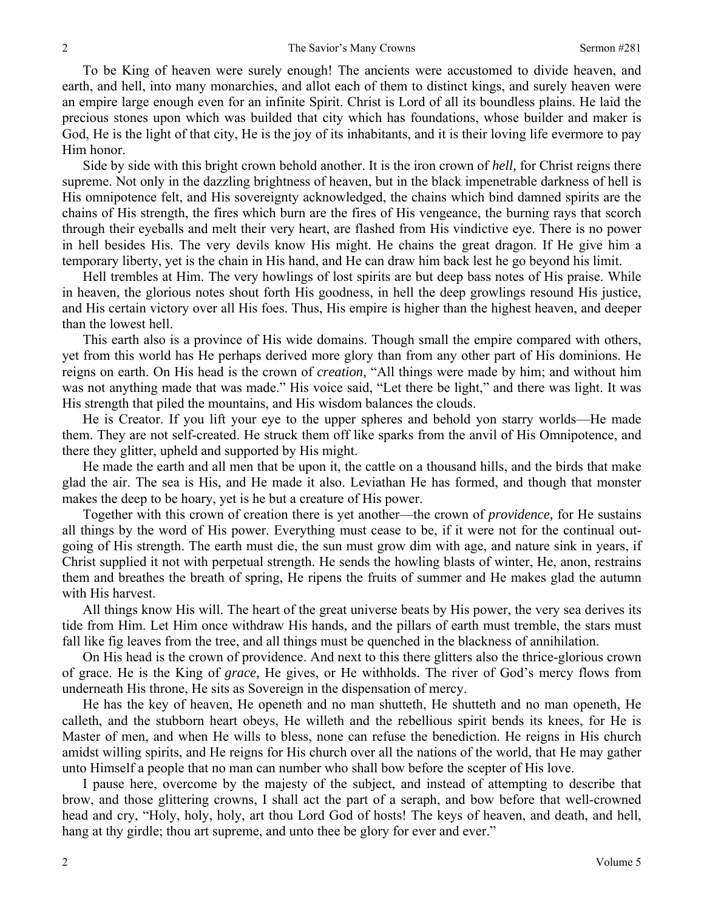To be King of heaven were surely enough! The ancients were accustomed to divide heaven, and earth, and hell, into many monarchies, and allot each of them to distinct kings, and surely heaven were an empire large enough even for an infinite Spirit. Christ is Lord of all its boundless plains. He laid the precious stones upon which was builded that city which has foundations, whose builder and maker is God, He is the light of that city, He is the joy of its inhabitants, and it is their loving life evermore to pay Him honor.

Side by side with this bright crown behold another. It is the iron crown of *hell,* for Christ reigns there supreme. Not only in the dazzling brightness of heaven, but in the black impenetrable darkness of hell is His omnipotence felt, and His sovereignty acknowledged, the chains which bind damned spirits are the chains of His strength, the fires which burn are the fires of His vengeance, the burning rays that scorch through their eyeballs and melt their very heart, are flashed from His vindictive eye. There is no power in hell besides His. The very devils know His might. He chains the great dragon. If He give him a temporary liberty, yet is the chain in His hand, and He can draw him back lest he go beyond his limit.

Hell trembles at Him. The very howlings of lost spirits are but deep bass notes of His praise. While in heaven, the glorious notes shout forth His goodness, in hell the deep growlings resound His justice, and His certain victory over all His foes. Thus, His empire is higher than the highest heaven, and deeper than the lowest hell.

This earth also is a province of His wide domains. Though small the empire compared with others, yet from this world has He perhaps derived more glory than from any other part of His dominions. He reigns on earth. On His head is the crown of *creation,* "All things were made by him; and without him was not anything made that was made." His voice said, "Let there be light," and there was light. It was His strength that piled the mountains, and His wisdom balances the clouds.

He is Creator. If you lift your eye to the upper spheres and behold yon starry worlds—He made them. They are not self-created. He struck them off like sparks from the anvil of His Omnipotence, and there they glitter, upheld and supported by His might.

He made the earth and all men that be upon it, the cattle on a thousand hills, and the birds that make glad the air. The sea is His, and He made it also. Leviathan He has formed, and though that monster makes the deep to be hoary, yet is he but a creature of His power.

Together with this crown of creation there is yet another—the crown of *providence,* for He sustains all things by the word of His power. Everything must cease to be, if it were not for the continual outgoing of His strength. The earth must die, the sun must grow dim with age, and nature sink in years, if Christ supplied it not with perpetual strength. He sends the howling blasts of winter, He, anon, restrains them and breathes the breath of spring, He ripens the fruits of summer and He makes glad the autumn with His harvest.

All things know His will. The heart of the great universe beats by His power, the very sea derives its tide from Him. Let Him once withdraw His hands, and the pillars of earth must tremble, the stars must fall like fig leaves from the tree, and all things must be quenched in the blackness of annihilation.

On His head is the crown of providence. And next to this there glitters also the thrice-glorious crown of grace. He is the King of *grace,* He gives, or He withholds. The river of God's mercy flows from underneath His throne, He sits as Sovereign in the dispensation of mercy.

He has the key of heaven, He openeth and no man shutteth, He shutteth and no man openeth, He calleth, and the stubborn heart obeys, He willeth and the rebellious spirit bends its knees, for He is Master of men, and when He wills to bless, none can refuse the benediction. He reigns in His church amidst willing spirits, and He reigns for His church over all the nations of the world, that He may gather unto Himself a people that no man can number who shall bow before the scepter of His love.

I pause here, overcome by the majesty of the subject, and instead of attempting to describe that brow, and those glittering crowns, I shall act the part of a seraph, and bow before that well-crowned head and cry, "Holy, holy, holy, art thou Lord God of hosts! The keys of heaven, and death, and hell, hang at thy girdle; thou art supreme, and unto thee be glory for ever and ever."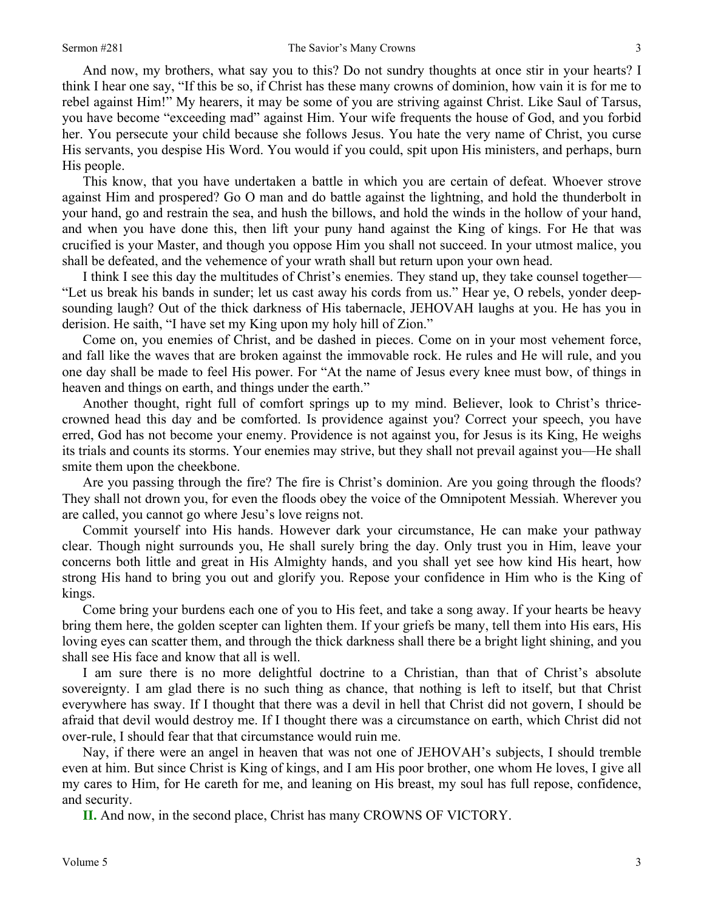And now, my brothers, what say you to this? Do not sundry thoughts at once stir in your hearts? I think I hear one say, "If this be so, if Christ has these many crowns of dominion, how vain it is for me to rebel against Him!" My hearers, it may be some of you are striving against Christ. Like Saul of Tarsus, you have become "exceeding mad" against Him. Your wife frequents the house of God, and you forbid her. You persecute your child because she follows Jesus. You hate the very name of Christ, you curse His servants, you despise His Word. You would if you could, spit upon His ministers, and perhaps, burn His people.

This know, that you have undertaken a battle in which you are certain of defeat. Whoever strove against Him and prospered? Go O man and do battle against the lightning, and hold the thunderbolt in your hand, go and restrain the sea, and hush the billows, and hold the winds in the hollow of your hand, and when you have done this, then lift your puny hand against the King of kings. For He that was crucified is your Master, and though you oppose Him you shall not succeed. In your utmost malice, you shall be defeated, and the vehemence of your wrath shall but return upon your own head.

I think I see this day the multitudes of Christ's enemies. They stand up, they take counsel together— "Let us break his bands in sunder; let us cast away his cords from us." Hear ye, O rebels, yonder deepsounding laugh? Out of the thick darkness of His tabernacle, JEHOVAH laughs at you. He has you in derision. He saith, "I have set my King upon my holy hill of Zion."

Come on, you enemies of Christ, and be dashed in pieces. Come on in your most vehement force, and fall like the waves that are broken against the immovable rock. He rules and He will rule, and you one day shall be made to feel His power. For "At the name of Jesus every knee must bow, of things in heaven and things on earth, and things under the earth."

Another thought, right full of comfort springs up to my mind. Believer, look to Christ's thricecrowned head this day and be comforted. Is providence against you? Correct your speech, you have erred, God has not become your enemy. Providence is not against you, for Jesus is its King, He weighs its trials and counts its storms. Your enemies may strive, but they shall not prevail against you—He shall smite them upon the cheekbone.

Are you passing through the fire? The fire is Christ's dominion. Are you going through the floods? They shall not drown you, for even the floods obey the voice of the Omnipotent Messiah. Wherever you are called, you cannot go where Jesu's love reigns not.

Commit yourself into His hands. However dark your circumstance, He can make your pathway clear. Though night surrounds you, He shall surely bring the day. Only trust you in Him, leave your concerns both little and great in His Almighty hands, and you shall yet see how kind His heart, how strong His hand to bring you out and glorify you. Repose your confidence in Him who is the King of kings.

Come bring your burdens each one of you to His feet, and take a song away. If your hearts be heavy bring them here, the golden scepter can lighten them. If your griefs be many, tell them into His ears, His loving eyes can scatter them, and through the thick darkness shall there be a bright light shining, and you shall see His face and know that all is well.

I am sure there is no more delightful doctrine to a Christian, than that of Christ's absolute sovereignty. I am glad there is no such thing as chance, that nothing is left to itself, but that Christ everywhere has sway. If I thought that there was a devil in hell that Christ did not govern, I should be afraid that devil would destroy me. If I thought there was a circumstance on earth, which Christ did not over-rule, I should fear that that circumstance would ruin me.

Nay, if there were an angel in heaven that was not one of JEHOVAH's subjects, I should tremble even at him. But since Christ is King of kings, and I am His poor brother, one whom He loves, I give all my cares to Him, for He careth for me, and leaning on His breast, my soul has full repose, confidence, and security.

**II.** And now, in the second place, Christ has many CROWNS OF VICTORY.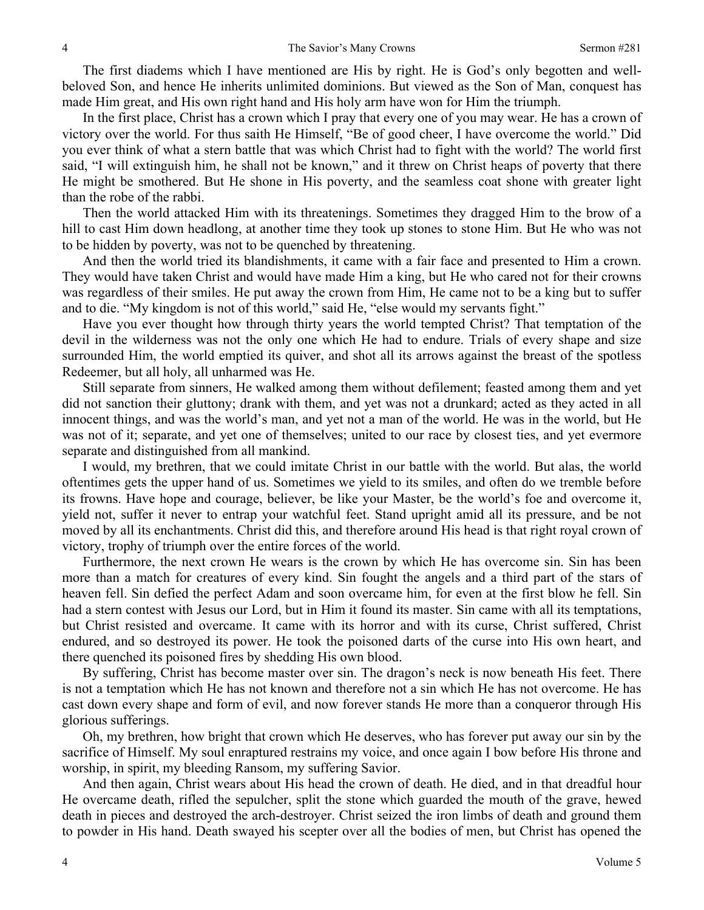The first diadems which I have mentioned are His by right. He is God's only begotten and wellbeloved Son, and hence He inherits unlimited dominions. But viewed as the Son of Man, conquest has made Him great, and His own right hand and His holy arm have won for Him the triumph.

In the first place, Christ has a crown which I pray that every one of you may wear. He has a crown of victory over the world. For thus saith He Himself, "Be of good cheer, I have overcome the world." Did you ever think of what a stern battle that was which Christ had to fight with the world? The world first said, "I will extinguish him, he shall not be known," and it threw on Christ heaps of poverty that there He might be smothered. But He shone in His poverty, and the seamless coat shone with greater light than the robe of the rabbi.

Then the world attacked Him with its threatenings. Sometimes they dragged Him to the brow of a hill to cast Him down headlong, at another time they took up stones to stone Him. But He who was not to be hidden by poverty, was not to be quenched by threatening.

And then the world tried its blandishments, it came with a fair face and presented to Him a crown. They would have taken Christ and would have made Him a king, but He who cared not for their crowns was regardless of their smiles. He put away the crown from Him, He came not to be a king but to suffer and to die. "My kingdom is not of this world," said He, "else would my servants fight."

Have you ever thought how through thirty years the world tempted Christ? That temptation of the devil in the wilderness was not the only one which He had to endure. Trials of every shape and size surrounded Him, the world emptied its quiver, and shot all its arrows against the breast of the spotless Redeemer, but all holy, all unharmed was He.

Still separate from sinners, He walked among them without defilement; feasted among them and yet did not sanction their gluttony; drank with them, and yet was not a drunkard; acted as they acted in all innocent things, and was the world's man, and yet not a man of the world. He was in the world, but He was not of it; separate, and yet one of themselves; united to our race by closest ties, and yet evermore separate and distinguished from all mankind.

I would, my brethren, that we could imitate Christ in our battle with the world. But alas, the world oftentimes gets the upper hand of us. Sometimes we yield to its smiles, and often do we tremble before its frowns. Have hope and courage, believer, be like your Master, be the world's foe and overcome it, yield not, suffer it never to entrap your watchful feet. Stand upright amid all its pressure, and be not moved by all its enchantments. Christ did this, and therefore around His head is that right royal crown of victory, trophy of triumph over the entire forces of the world.

Furthermore, the next crown He wears is the crown by which He has overcome sin. Sin has been more than a match for creatures of every kind. Sin fought the angels and a third part of the stars of heaven fell. Sin defied the perfect Adam and soon overcame him, for even at the first blow he fell. Sin had a stern contest with Jesus our Lord, but in Him it found its master. Sin came with all its temptations, but Christ resisted and overcame. It came with its horror and with its curse, Christ suffered, Christ endured, and so destroyed its power. He took the poisoned darts of the curse into His own heart, and there quenched its poisoned fires by shedding His own blood.

By suffering, Christ has become master over sin. The dragon's neck is now beneath His feet. There is not a temptation which He has not known and therefore not a sin which He has not overcome. He has cast down every shape and form of evil, and now forever stands He more than a conqueror through His glorious sufferings.

Oh, my brethren, how bright that crown which He deserves, who has forever put away our sin by the sacrifice of Himself. My soul enraptured restrains my voice, and once again I bow before His throne and worship, in spirit, my bleeding Ransom, my suffering Savior.

And then again, Christ wears about His head the crown of death. He died, and in that dreadful hour He overcame death, rifled the sepulcher, split the stone which guarded the mouth of the grave, hewed death in pieces and destroyed the arch-destroyer. Christ seized the iron limbs of death and ground them to powder in His hand. Death swayed his scepter over all the bodies of men, but Christ has opened the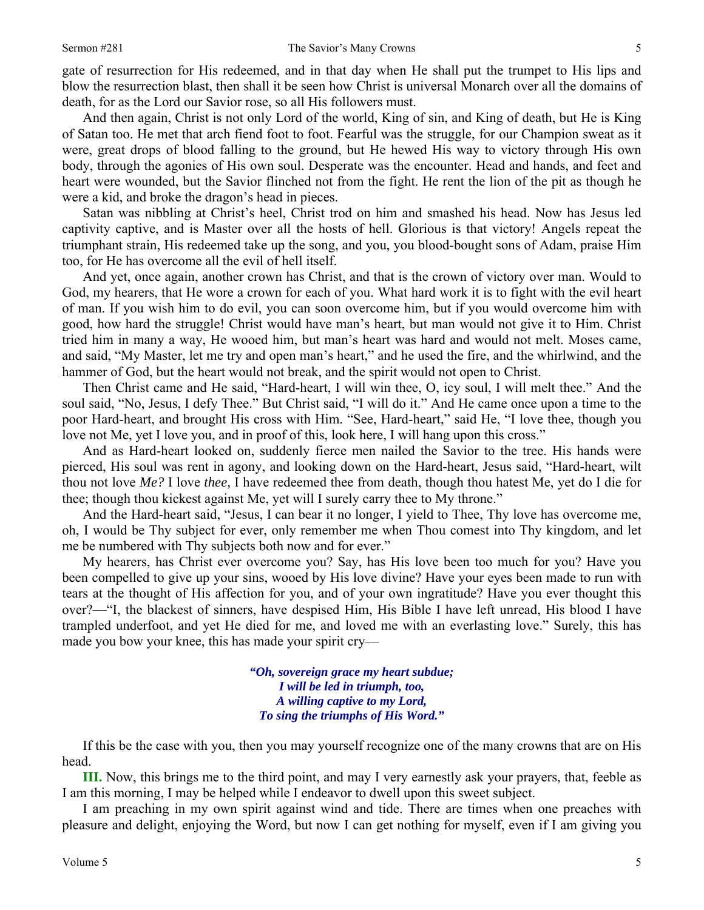gate of resurrection for His redeemed, and in that day when He shall put the trumpet to His lips and blow the resurrection blast, then shall it be seen how Christ is universal Monarch over all the domains of death, for as the Lord our Savior rose, so all His followers must.

And then again, Christ is not only Lord of the world, King of sin, and King of death, but He is King of Satan too. He met that arch fiend foot to foot. Fearful was the struggle, for our Champion sweat as it were, great drops of blood falling to the ground, but He hewed His way to victory through His own body, through the agonies of His own soul. Desperate was the encounter. Head and hands, and feet and heart were wounded, but the Savior flinched not from the fight. He rent the lion of the pit as though he were a kid, and broke the dragon's head in pieces.

Satan was nibbling at Christ's heel, Christ trod on him and smashed his head. Now has Jesus led captivity captive, and is Master over all the hosts of hell. Glorious is that victory! Angels repeat the triumphant strain, His redeemed take up the song, and you, you blood-bought sons of Adam, praise Him too, for He has overcome all the evil of hell itself.

And yet, once again, another crown has Christ, and that is the crown of victory over man. Would to God, my hearers, that He wore a crown for each of you. What hard work it is to fight with the evil heart of man. If you wish him to do evil, you can soon overcome him, but if you would overcome him with good, how hard the struggle! Christ would have man's heart, but man would not give it to Him. Christ tried him in many a way, He wooed him, but man's heart was hard and would not melt. Moses came, and said, "My Master, let me try and open man's heart," and he used the fire, and the whirlwind, and the hammer of God, but the heart would not break, and the spirit would not open to Christ.

Then Christ came and He said, "Hard-heart, I will win thee, O, icy soul, I will melt thee." And the soul said, "No, Jesus, I defy Thee." But Christ said, "I will do it." And He came once upon a time to the poor Hard-heart, and brought His cross with Him. "See, Hard-heart," said He, "I love thee, though you love not Me, yet I love you, and in proof of this, look here, I will hang upon this cross."

And as Hard-heart looked on, suddenly fierce men nailed the Savior to the tree. His hands were pierced, His soul was rent in agony, and looking down on the Hard-heart, Jesus said, "Hard-heart, wilt thou not love *Me?* I love *thee,* I have redeemed thee from death, though thou hatest Me, yet do I die for thee; though thou kickest against Me, yet will I surely carry thee to My throne."

And the Hard-heart said, "Jesus, I can bear it no longer, I yield to Thee, Thy love has overcome me, oh, I would be Thy subject for ever, only remember me when Thou comest into Thy kingdom, and let me be numbered with Thy subjects both now and for ever."

My hearers, has Christ ever overcome you? Say, has His love been too much for you? Have you been compelled to give up your sins, wooed by His love divine? Have your eyes been made to run with tears at the thought of His affection for you, and of your own ingratitude? Have you ever thought this over?—"I, the blackest of sinners, have despised Him, His Bible I have left unread, His blood I have trampled underfoot, and yet He died for me, and loved me with an everlasting love." Surely, this has made you bow your knee, this has made your spirit cry—

> *"Oh, sovereign grace my heart subdue; I will be led in triumph, too, A willing captive to my Lord, To sing the triumphs of His Word."*

If this be the case with you, then you may yourself recognize one of the many crowns that are on His head.

**III.** Now, this brings me to the third point, and may I very earnestly ask your prayers, that, feeble as I am this morning, I may be helped while I endeavor to dwell upon this sweet subject.

I am preaching in my own spirit against wind and tide. There are times when one preaches with pleasure and delight, enjoying the Word, but now I can get nothing for myself, even if I am giving you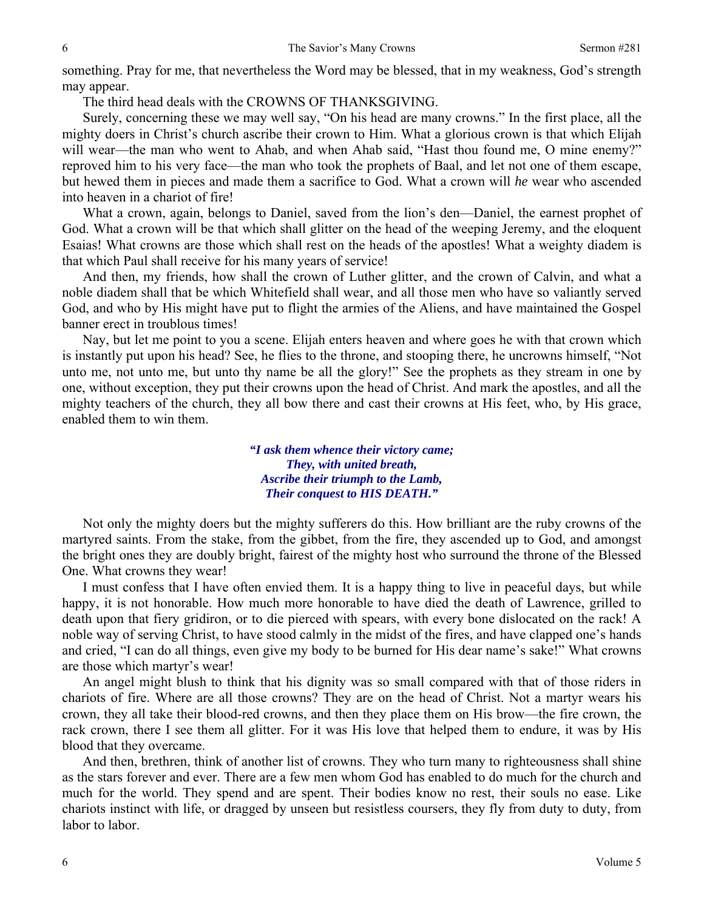something. Pray for me, that nevertheless the Word may be blessed, that in my weakness, God's strength may appear.

The third head deals with the CROWNS OF THANKSGIVING.

Surely, concerning these we may well say, "On his head are many crowns." In the first place, all the mighty doers in Christ's church ascribe their crown to Him. What a glorious crown is that which Elijah will wear—the man who went to Ahab, and when Ahab said, "Hast thou found me, O mine enemy?" reproved him to his very face—the man who took the prophets of Baal, and let not one of them escape, but hewed them in pieces and made them a sacrifice to God. What a crown will *he* wear who ascended into heaven in a chariot of fire!

What a crown, again, belongs to Daniel, saved from the lion's den—Daniel, the earnest prophet of God. What a crown will be that which shall glitter on the head of the weeping Jeremy, and the eloquent Esaias! What crowns are those which shall rest on the heads of the apostles! What a weighty diadem is that which Paul shall receive for his many years of service!

And then, my friends, how shall the crown of Luther glitter, and the crown of Calvin, and what a noble diadem shall that be which Whitefield shall wear, and all those men who have so valiantly served God, and who by His might have put to flight the armies of the Aliens, and have maintained the Gospel banner erect in troublous times!

Nay, but let me point to you a scene. Elijah enters heaven and where goes he with that crown which is instantly put upon his head? See, he flies to the throne, and stooping there, he uncrowns himself, "Not unto me, not unto me, but unto thy name be all the glory!" See the prophets as they stream in one by one, without exception, they put their crowns upon the head of Christ. And mark the apostles, and all the mighty teachers of the church, they all bow there and cast their crowns at His feet, who, by His grace, enabled them to win them.

> *"I ask them whence their victory came; They, with united breath, Ascribe their triumph to the Lamb, Their conquest to HIS DEATH."*

Not only the mighty doers but the mighty sufferers do this. How brilliant are the ruby crowns of the martyred saints. From the stake, from the gibbet, from the fire, they ascended up to God, and amongst the bright ones they are doubly bright, fairest of the mighty host who surround the throne of the Blessed One. What crowns they wear!

I must confess that I have often envied them. It is a happy thing to live in peaceful days, but while happy, it is not honorable. How much more honorable to have died the death of Lawrence, grilled to death upon that fiery gridiron, or to die pierced with spears, with every bone dislocated on the rack! A noble way of serving Christ, to have stood calmly in the midst of the fires, and have clapped one's hands and cried, "I can do all things, even give my body to be burned for His dear name's sake!" What crowns are those which martyr's wear!

An angel might blush to think that his dignity was so small compared with that of those riders in chariots of fire. Where are all those crowns? They are on the head of Christ. Not a martyr wears his crown, they all take their blood-red crowns, and then they place them on His brow—the fire crown, the rack crown, there I see them all glitter. For it was His love that helped them to endure, it was by His blood that they overcame.

And then, brethren, think of another list of crowns. They who turn many to righteousness shall shine as the stars forever and ever. There are a few men whom God has enabled to do much for the church and much for the world. They spend and are spent. Their bodies know no rest, their souls no ease. Like chariots instinct with life, or dragged by unseen but resistless coursers, they fly from duty to duty, from labor to labor.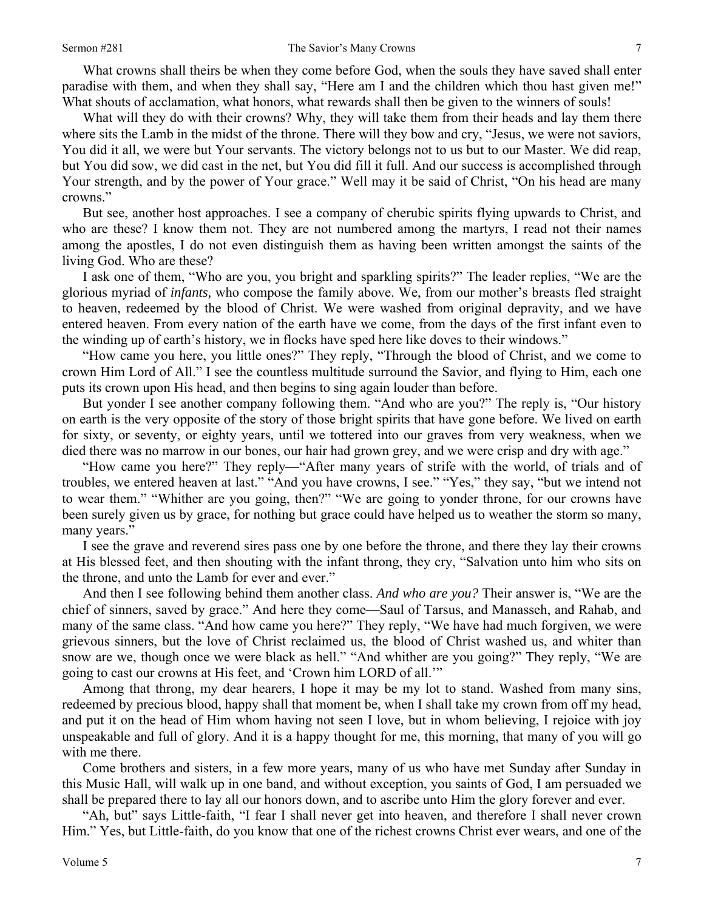What crowns shall theirs be when they come before God, when the souls they have saved shall enter paradise with them, and when they shall say, "Here am I and the children which thou hast given me!" What shouts of acclamation, what honors, what rewards shall then be given to the winners of souls!

What will they do with their crowns? Why, they will take them from their heads and lay them there where sits the Lamb in the midst of the throne. There will they bow and cry, "Jesus, we were not saviors, You did it all, we were but Your servants. The victory belongs not to us but to our Master. We did reap, but You did sow, we did cast in the net, but You did fill it full. And our success is accomplished through Your strength, and by the power of Your grace." Well may it be said of Christ, "On his head are many crowns."

But see, another host approaches. I see a company of cherubic spirits flying upwards to Christ, and who are these? I know them not. They are not numbered among the martyrs, I read not their names among the apostles, I do not even distinguish them as having been written amongst the saints of the living God. Who are these?

I ask one of them, "Who are you, you bright and sparkling spirits?" The leader replies, "We are the glorious myriad of *infants,* who compose the family above. We, from our mother's breasts fled straight to heaven, redeemed by the blood of Christ. We were washed from original depravity, and we have entered heaven. From every nation of the earth have we come, from the days of the first infant even to the winding up of earth's history, we in flocks have sped here like doves to their windows."

"How came you here, you little ones?" They reply, "Through the blood of Christ, and we come to crown Him Lord of All." I see the countless multitude surround the Savior, and flying to Him, each one puts its crown upon His head, and then begins to sing again louder than before.

But yonder I see another company following them. "And who are you?" The reply is, "Our history on earth is the very opposite of the story of those bright spirits that have gone before. We lived on earth for sixty, or seventy, or eighty years, until we tottered into our graves from very weakness, when we died there was no marrow in our bones, our hair had grown grey, and we were crisp and dry with age."

"How came you here?" They reply—"After many years of strife with the world, of trials and of troubles, we entered heaven at last." "And you have crowns, I see." "Yes," they say, "but we intend not to wear them." "Whither are you going, then?" "We are going to yonder throne, for our crowns have been surely given us by grace, for nothing but grace could have helped us to weather the storm so many, many years."

I see the grave and reverend sires pass one by one before the throne, and there they lay their crowns at His blessed feet, and then shouting with the infant throng, they cry, "Salvation unto him who sits on the throne, and unto the Lamb for ever and ever."

And then I see following behind them another class. *And who are you?* Their answer is, "We are the chief of sinners, saved by grace." And here they come—Saul of Tarsus, and Manasseh, and Rahab, and many of the same class. "And how came you here?" They reply, "We have had much forgiven, we were grievous sinners, but the love of Christ reclaimed us, the blood of Christ washed us, and whiter than snow are we, though once we were black as hell." "And whither are you going?" They reply, "We are going to cast our crowns at His feet, and 'Crown him LORD of all.'"

Among that throng, my dear hearers, I hope it may be my lot to stand. Washed from many sins, redeemed by precious blood, happy shall that moment be, when I shall take my crown from off my head, and put it on the head of Him whom having not seen I love, but in whom believing, I rejoice with joy unspeakable and full of glory. And it is a happy thought for me, this morning, that many of you will go with me there.

Come brothers and sisters, in a few more years, many of us who have met Sunday after Sunday in this Music Hall, will walk up in one band, and without exception, you saints of God, I am persuaded we shall be prepared there to lay all our honors down, and to ascribe unto Him the glory forever and ever.

"Ah, but" says Little-faith, "I fear I shall never get into heaven, and therefore I shall never crown Him." Yes, but Little-faith, do you know that one of the richest crowns Christ ever wears, and one of the